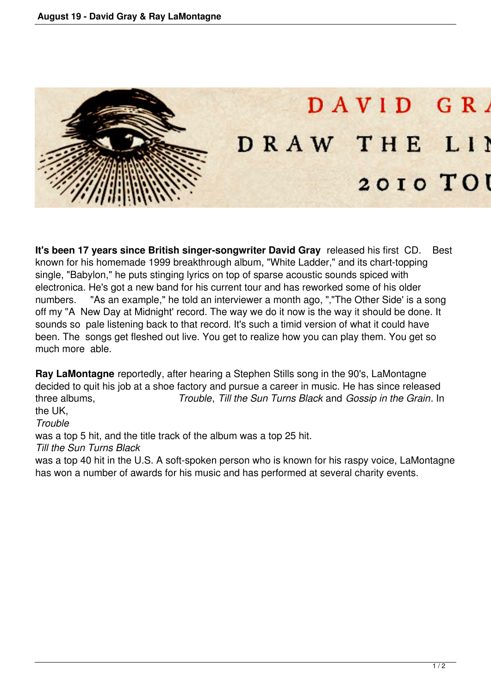

**It's been 17 years since British singer-songwriter David Gray** released his first CD. Best known for his homemade 1999 breakthrough album, "White Ladder," and its chart-topping single, "Babylon," he puts stinging lyrics on top of sparse acoustic sounds spiced with electronica. He's got a new band for his current tour and has reworked some of his older numbers. "As an example," he told an interviewer a month ago, ","The Other Side' is a song off my "A New Day at Midnight' record. The way we do it now is the way it should be done. It sounds so pale listening back to that record. It's such a timid version of what it could have been. The songs get fleshed out live. You get to realize how you can play them. You get so much more able.

**Ray LaMontagne** reportedly, after hearing a Stephen Stills song in the 90's, LaMontagne decided to quit his job at a shoe factory and pursue a career in music. He has since released three albums, *Trouble*, *Till the Sun Turns Black* and *Gossip in the Grain*. In the UK,

*Trouble*

was a top 5 hit, and the title track of the album was a top 25 hit.

*Till the Sun Turns Black*

was a top 40 hit in the U.S. A soft-spoken person who is known for his raspy voice, LaMontagne has won a number of awards for his music and has performed at several charity events.